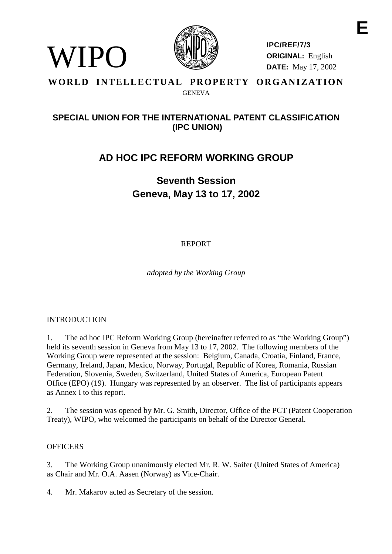

**IPC/REF/7/3 ORIGINAL:** English **DATE:** May 17, 2002

# **WORLD INTELLECTUAL PROPERTY ORGANIZATION** GENEVA

# **SPECIAL UNION FOR THE INTERNATIONAL PATENT CLASSIFICATION (IPC UNION)**

# **AD HOC IPC REFORM WORKING GROUP**

# **Seventh Session Geneva, May 13 to 17, 2002**

REPORT

*adopted by the Working Group*

# INTRODUCTION

WIPO

1. The ad hoc IPC Reform Working Group (hereinafter referred to as "the Working Group") held its seventh session in Geneva from May 13 to 17, 2002. The following members of the Working Group were represented at the session: Belgium, Canada, Croatia, Finland, France, Germany, Ireland, Japan, Mexico, Norway, Portugal, Republic of Korea, Romania, Russian Federation, Slovenia, Sweden, Switzerland, United States of America, European Patent Office (EPO) (19). Hungary was represented by an observer. The list of participants appears as Annex I to this report.

2. The session was opened by Mr. G. Smith, Director, Office of the PCT (Patent Cooperation Treaty), WIPO, who welcomed the participants on behalf of the Director General.

# **OFFICERS**

3. The Working Group unanimously elected Mr. R. W. Saifer (United States of America) as Chair and Mr. O.A. Aasen (Norway) as Vice-Chair.

4. Mr. Makarov acted as Secretary of the session.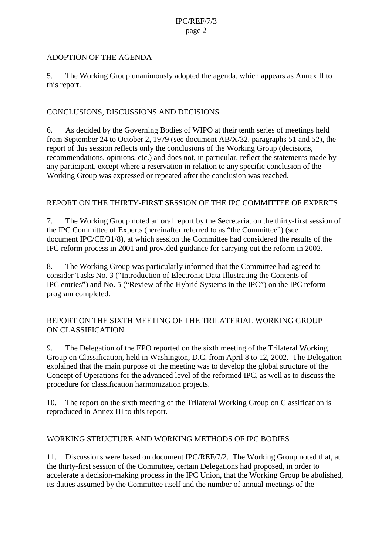#### ADOPTION OF THE AGENDA

5. The Working Group unanimously adopted the agenda, which appears as Annex II to this report.

# CONCLUSIONS, DISCUSSIONS AND DECISIONS

6. As decided by the Governing Bodies of WIPO at their tenth series of meetings held from September 24 to October 2, 1979 (see document AB/X/32, paragraphs 51 and 52), the report of this session reflects only the conclusions of the Working Group (decisions, recommendations, opinions, etc.) and does not, in particular, reflect the statements made by any participant, except where a reservation in relation to any specific conclusion of the Working Group was expressed or repeated after the conclusion was reached.

# REPORT ON THE THIRTY-FIRST SESSION OF THE IPC COMMITTEE OF EXPERTS

7. The Working Group noted an oral report by the Secretariat on the thirty-first session of the IPC Committee of Experts (hereinafter referred to as "the Committee") (see document IPC/CE/31/8), at which session the Committee had considered the results of the IPC reform process in 2001 and provided guidance for carrying out the reform in 2002.

8. The Working Group was particularly informed that the Committee had agreed to consider Tasks No. 3 ("Introduction of Electronic Data Illustrating the Contents of IPC entries") and No. 5 ("Review of the Hybrid Systems in the IPC") on the IPC reform program completed.

# REPORT ON THE SIXTH MEETING OF THE TRILATERIAL WORKING GROUP ON CLASSIFICATION

9. The Delegation of the EPO reported on the sixth meeting of the Trilateral Working Group on Classification, held in Washington, D.C. from April 8 to 12, 2002. The Delegation explained that the main purpose of the meeting was to develop the global structure of the Concept of Operations for the advanced level of the reformed IPC, as well as to discuss the procedure for classification harmonization projects.

10. The report on the sixth meeting of the Trilateral Working Group on Classification is reproduced in Annex III to this report.

# WORKING STRUCTURE AND WORKING METHODS OF IPC BODIES

11. Discussions were based on document IPC/REF/7/2. The Working Group noted that, at the thirty-first session of the Committee, certain Delegations had proposed, in order to accelerate a decision-making process in the IPC Union, that the Working Group be abolished, its duties assumed by the Committee itself and the number of annual meetings of the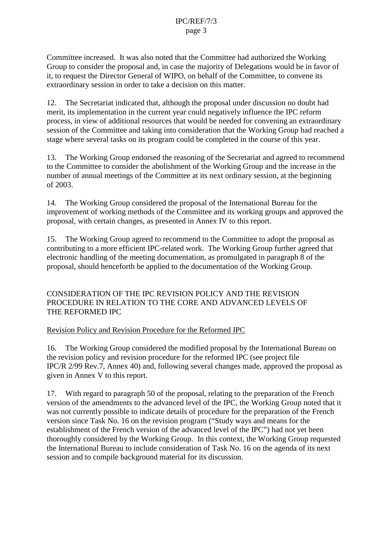Committee increased. It was also noted that the Committee had authorized the Working Group to consider the proposal and, in case the majority of Delegations would be in favor of it, to request the Director General of WIPO, on behalf of the Committee, to convene its extraordinary session in order to take a decision on this matter.

12. The Secretariat indicated that, although the proposal under discussion no doubt had merit, its implementation in the current year could negatively influence the IPC reform process, in view of additional resources that would be needed for convening an extraordinary session of the Committee and taking into consideration that the Working Group had reached a stage where several tasks on its program could be completed in the course of this year.

13. The Working Group endorsed the reasoning of the Secretariat and agreed to recommend to the Committee to consider the abolishment of the Working Group and the increase in the number of annual meetings of the Committee at its next ordinary session, at the beginning of 2003.

14. The Working Group considered the proposal of the International Bureau for the improvement of working methods of the Committee and its working groups and approved the proposal, with certain changes, as presented in Annex IV to this report.

15. The Working Group agreed to recommend to the Committee to adopt the proposal as contributing to a more efficient IPC-related work. The Working Group further agreed that electronic handling of the meeting documentation, as promulgated in paragraph 8 of the proposal, should henceforth be applied to the documentation of the Working Group.

CONSIDERATION OF THE IPC REVISION POLICY AND THE REVISION PROCEDURE IN RELATION TO THE CORE AND ADVANCED LEVELS OF THE REFORMED IPC

#### Revision Policy and Revision Procedure for the Reformed IPC

16. The Working Group considered the modified proposal by the International Bureau on the revision policy and revision procedure for the reformed IPC (see project file IPC/R 2/99 Rev.7, Annex 40) and, following several changes made, approved the proposal as given in Annex V to this report.

17. With regard to paragraph 50 of the proposal, relating to the preparation of the French version of the amendments to the advanced level of the IPC, the Working Group noted that it was not currently possible to indicate details of procedure for the preparation of the French version since Task No. 16 on the revision program ("Study ways and means for the establishment of the French version of the advanced level of the IPC") had not yet been thoroughly considered by the Working Group. In this context, the Working Group requested the International Bureau to include consideration of Task No. 16 on the agenda of its next session and to compile background material for its discussion.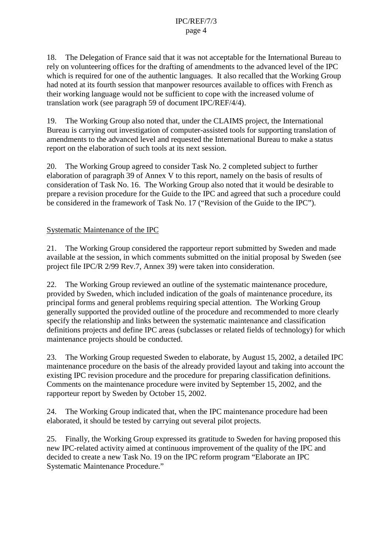18. The Delegation of France said that it was not acceptable for the International Bureau to rely on volunteering offices for the drafting of amendments to the advanced level of the IPC which is required for one of the authentic languages. It also recalled that the Working Group had noted at its fourth session that manpower resources available to offices with French as their working language would not be sufficient to cope with the increased volume of translation work (see paragraph 59 of document IPC/REF/4/4).

19. The Working Group also noted that, under the CLAIMS project, the International Bureau is carrying out investigation of computer-assisted tools for supporting translation of amendments to the advanced level and requested the International Bureau to make a status report on the elaboration of such tools at its next session.

20. The Working Group agreed to consider Task No. 2 completed subject to further elaboration of paragraph 39 of Annex V to this report, namely on the basis of results of consideration of Task No. 16. The Working Group also noted that it would be desirable to prepare a revision procedure for the Guide to the IPC and agreed that such a procedure could be considered in the framework of Task No. 17 ("Revision of the Guide to the IPC").

# Systematic Maintenance of the IPC

21. The Working Group considered the rapporteur report submitted by Sweden and made available at the session, in which comments submitted on the initial proposal by Sweden (see project file IPC/R 2/99 Rev.7, Annex 39) were taken into consideration.

22. The Working Group reviewed an outline of the systematic maintenance procedure, provided by Sweden, which included indication of the goals of maintenance procedure, its principal forms and general problems requiring special attention. The Working Group generally supported the provided outline of the procedure and recommended to more clearly specify the relationship and links between the systematic maintenance and classification definitions projects and define IPC areas (subclasses or related fields of technology) for which maintenance projects should be conducted.

23. The Working Group requested Sweden to elaborate, by August 15, 2002, a detailed IPC maintenance procedure on the basis of the already provided layout and taking into account the existing IPC revision procedure and the procedure for preparing classification definitions. Comments on the maintenance procedure were invited by September 15, 2002, and the rapporteur report by Sweden by October 15, 2002.

24. The Working Group indicated that, when the IPC maintenance procedure had been elaborated, it should be tested by carrying out several pilot projects.

25. Finally, the Working Group expressed its gratitude to Sweden for having proposed this new IPC-related activity aimed at continuous improvement of the quality of the IPC and decided to create a new Task No. 19 on the IPC reform program "Elaborate an IPC Systematic Maintenance Procedure."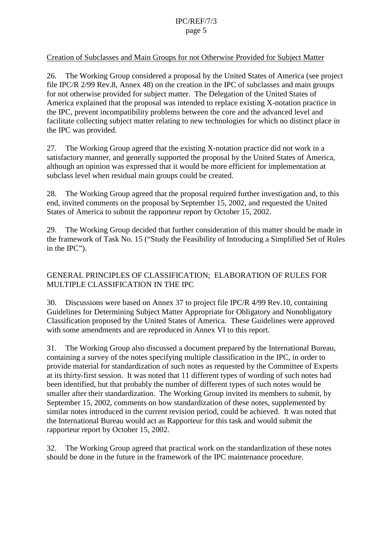#### Creation of Subclasses and Main Groups for not Otherwise Provided for Subject Matter

26. The Working Group considered a proposal by the United States of America (see project file IPC/R 2/99 Rev.8, Annex 48) on the creation in the IPC of subclasses and main groups for not otherwise provided for subject matter. The Delegation of the United States of America explained that the proposal was intended to replace existing X-notation practice in the IPC, prevent incompatibility problems between the core and the advanced level and facilitate collecting subject matter relating to new technologies for which no distinct place in the IPC was provided.

27. The Working Group agreed that the existing X-notation practice did not work in a satisfactory manner, and generally supported the proposal by the United States of America, although an opinion was expressed that it would be more efficient for implementation at subclass level when residual main groups could be created.

28. The Working Group agreed that the proposal required further investigation and, to this end, invited comments on the proposal by September 15, 2002, and requested the United States of America to submit the rapporteur report by October 15, 2002.

29. The Working Group decided that further consideration of this matter should be made in the framework of Task No. 15 ("Study the Feasibility of Introducing a Simplified Set of Rules in the IPC").

# GENERAL PRINCIPLES OF CLASSIFICATION; ELABORATION OF RULES FOR MULTIPLE CLASSIFICATION IN THE IPC

30. Discussions were based on Annex 37 to project file IPC/R 4/99 Rev.10, containing Guidelines for Determining Subject Matter Appropriate for Obligatory and Nonobligatory Classification proposed by the United States of America. These Guidelines were approved with some amendments and are reproduced in Annex VI to this report.

31. The Working Group also discussed a document prepared by the International Bureau, containing a survey of the notes specifying multiple classification in the IPC, in order to provide material for standardization of such notes as requested by the Committee of Experts at its thirty-first session. It was noted that 11 different types of wording of such notes had been identified, but that probably the number of different types of such notes would be smaller after their standardization. The Working Group invited its members to submit, by September 15, 2002, comments on how standardization of these notes, supplemented by similar notes introduced in the current revision period, could be achieved. It was noted that the International Bureau would act as Rapporteur for this task and would submit the rapporteur report by October 15, 2002.

32. The Working Group agreed that practical work on the standardization of these notes should be done in the future in the framework of the IPC maintenance procedure.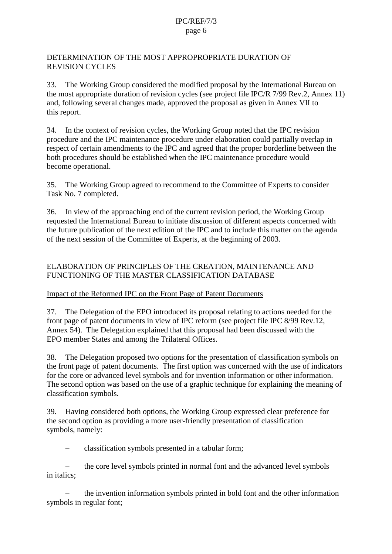### DETERMINATION OF THE MOST APPROPROPRIATE DURATION OF REVISION CYCLES

33. The Working Group considered the modified proposal by the International Bureau on the most appropriate duration of revision cycles (see project file IPC/R 7/99 Rev.2, Annex 11) and, following several changes made, approved the proposal as given in Annex VII to this report.

34. In the context of revision cycles, the Working Group noted that the IPC revision procedure and the IPC maintenance procedure under elaboration could partially overlap in respect of certain amendments to the IPC and agreed that the proper borderline between the both procedures should be established when the IPC maintenance procedure would become operational.

35. The Working Group agreed to recommend to the Committee of Experts to consider Task No. 7 completed.

36. In view of the approaching end of the current revision period, the Working Group requested the International Bureau to initiate discussion of different aspects concerned with the future publication of the next edition of the IPC and to include this matter on the agenda of the next session of the Committee of Experts, at the beginning of 2003.

# ELABORATION OF PRINCIPLES OF THE CREATION, MAINTENANCE AND FUNCTIONING OF THE MASTER CLASSIFICATION DATABASE

# Impact of the Reformed IPC on the Front Page of Patent Documents

37. The Delegation of the EPO introduced its proposal relating to actions needed for the front page of patent documents in view of IPC reform (see project file IPC 8/99 Rev.12, Annex 54). The Delegation explained that this proposal had been discussed with the EPO member States and among the Trilateral Offices.

38. The Delegation proposed two options for the presentation of classification symbols on the front page of patent documents. The first option was concerned with the use of indicators for the core or advanced level symbols and for invention information or other information. The second option was based on the use of a graphic technique for explaining the meaning of classification symbols.

39. Having considered both options, the Working Group expressed clear preference for the second option as providing a more user-friendly presentation of classification symbols, namely:

– classification symbols presented in a tabular form;

– the core level symbols printed in normal font and the advanced level symbols in italics;

– the invention information symbols printed in bold font and the other information symbols in regular font;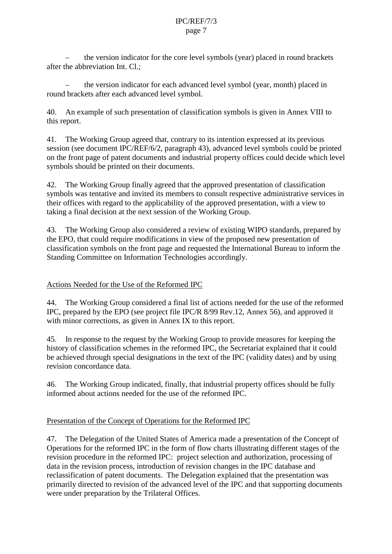– the version indicator for the core level symbols (year) placed in round brackets after the abbreviation Int. Cl.;

– the version indicator for each advanced level symbol (year, month) placed in round brackets after each advanced level symbol.

40. An example of such presentation of classification symbols is given in Annex VIII to this report.

41. The Working Group agreed that, contrary to its intention expressed at its previous session (see document IPC/REF/6/2, paragraph 43), advanced level symbols could be printed on the front page of patent documents and industrial property offices could decide which level symbols should be printed on their documents.

42. The Working Group finally agreed that the approved presentation of classification symbols was tentative and invited its members to consult respective administrative services in their offices with regard to the applicability of the approved presentation, with a view to taking a final decision at the next session of the Working Group.

43. The Working Group also considered a review of existing WIPO standards, prepared by the EPO, that could require modifications in view of the proposed new presentation of classification symbols on the front page and requested the International Bureau to inform the Standing Committee on Information Technologies accordingly.

# Actions Needed for the Use of the Reformed IPC

44. The Working Group considered a final list of actions needed for the use of the reformed IPC, prepared by the EPO (see project file IPC/R 8/99 Rev.12, Annex 56), and approved it with minor corrections, as given in Annex IX to this report.

45. In response to the request by the Working Group to provide measures for keeping the history of classification schemes in the reformed IPC, the Secretariat explained that it could be achieved through special designations in the text of the IPC (validity dates) and by using revision concordance data.

46. The Working Group indicated, finally, that industrial property offices should be fully informed about actions needed for the use of the reformed IPC.

# Presentation of the Concept of Operations for the Reformed IPC

47. The Delegation of the United States of America made a presentation of the Concept of Operations for the reformed IPC in the form of flow charts illustrating different stages of the revision procedure in the reformed IPC: project selection and authorization, processing of data in the revision process, introduction of revision changes in the IPC database and reclassification of patent documents. The Delegation explained that the presentation was primarily directed to revision of the advanced level of the IPC and that supporting documents were under preparation by the Trilateral Offices.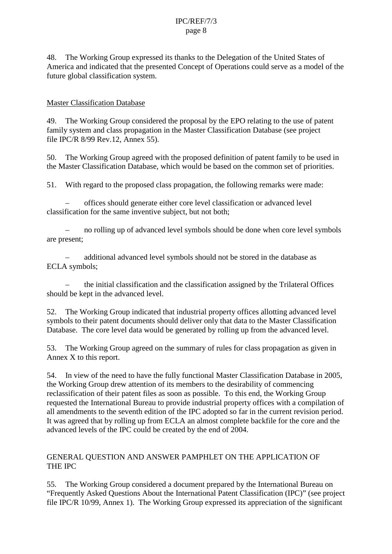48. The Working Group expressed its thanks to the Delegation of the United States of America and indicated that the presented Concept of Operations could serve as a model of the future global classification system.

# Master Classification Database

49. The Working Group considered the proposal by the EPO relating to the use of patent family system and class propagation in the Master Classification Database (see project file IPC/R 8/99 Rev.12, Annex 55).

50. The Working Group agreed with the proposed definition of patent family to be used in the Master Classification Database, which would be based on the common set of priorities.

51. With regard to the proposed class propagation, the following remarks were made:

– offices should generate either core level classification or advanced level classification for the same inventive subject, but not both;

– no rolling up of advanced level symbols should be done when core level symbols are present;

– additional advanced level symbols should not be stored in the database as ECLA symbols;

– the initial classification and the classification assigned by the Trilateral Offices should be kept in the advanced level.

52. The Working Group indicated that industrial property offices allotting advanced level symbols to their patent documents should deliver only that data to the Master Classification Database. The core level data would be generated by rolling up from the advanced level.

53. The Working Group agreed on the summary of rules for class propagation as given in Annex X to this report.

54. In view of the need to have the fully functional Master Classification Database in 2005, the Working Group drew attention of its members to the desirability of commencing reclassification of their patent files as soon as possible. To this end, the Working Group requested the International Bureau to provide industrial property offices with a compilation of all amendments to the seventh edition of the IPC adopted so far in the current revision period. It was agreed that by rolling up from ECLA an almost complete backfile for the core and the advanced levels of the IPC could be created by the end of 2004.

# GENERAL QUESTION AND ANSWER PAMPHLET ON THE APPLICATION OF THE IPC

55. The Working Group considered a document prepared by the International Bureau on "Frequently Asked Questions About the International Patent Classification (IPC)" (see project file IPC/R 10/99, Annex 1). The Working Group expressed its appreciation of the significant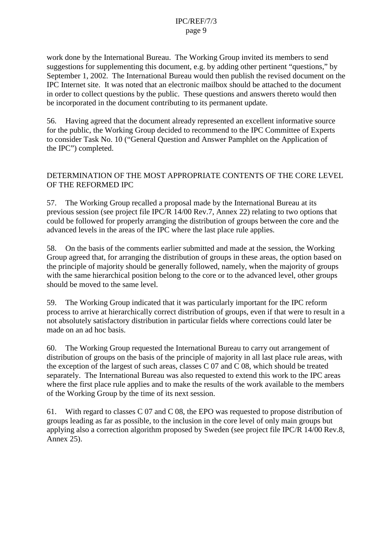work done by the International Bureau. The Working Group invited its members to send suggestions for supplementing this document, e.g. by adding other pertinent "questions," by September 1, 2002. The International Bureau would then publish the revised document on the IPC Internet site. It was noted that an electronic mailbox should be attached to the document in order to collect questions by the public. These questions and answers thereto would then be incorporated in the document contributing to its permanent update.

56. Having agreed that the document already represented an excellent informative source for the public, the Working Group decided to recommend to the IPC Committee of Experts to consider Task No. 10 ("General Question and Answer Pamphlet on the Application of the IPC") completed.

# DETERMINATION OF THE MOST APPROPRIATE CONTENTS OF THE CORE LEVEL OF THE REFORMED IPC

57. The Working Group recalled a proposal made by the International Bureau at its previous session (see project file IPC/R 14/00 Rev.7, Annex 22) relating to two options that could be followed for properly arranging the distribution of groups between the core and the advanced levels in the areas of the IPC where the last place rule applies.

58. On the basis of the comments earlier submitted and made at the session, the Working Group agreed that, for arranging the distribution of groups in these areas, the option based on the principle of majority should be generally followed, namely, when the majority of groups with the same hierarchical position belong to the core or to the advanced level, other groups should be moved to the same level.

59. The Working Group indicated that it was particularly important for the IPC reform process to arrive at hierarchically correct distribution of groups, even if that were to result in a not absolutely satisfactory distribution in particular fields where corrections could later be made on an ad hoc basis.

60. The Working Group requested the International Bureau to carry out arrangement of distribution of groups on the basis of the principle of majority in all last place rule areas, with the exception of the largest of such areas, classes C 07 and C 08, which should be treated separately. The International Bureau was also requested to extend this work to the IPC areas where the first place rule applies and to make the results of the work available to the members of the Working Group by the time of its next session.

61. With regard to classes C 07 and C 08, the EPO was requested to propose distribution of groups leading as far as possible, to the inclusion in the core level of only main groups but applying also a correction algorithm proposed by Sweden (see project file IPC/R 14/00 Rev.8, Annex 25).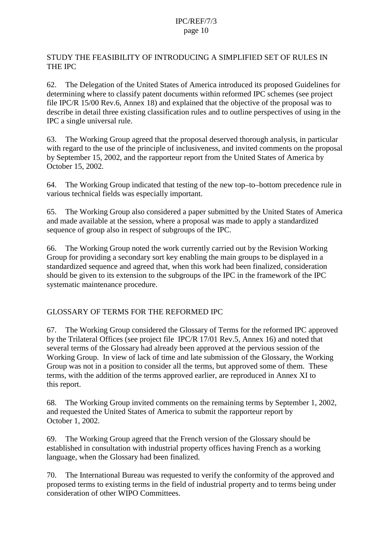STUDY THE FEASIBILITY OF INTRODUCING A SIMPLIFIED SET OF RULES IN THE IPC

62. The Delegation of the United States of America introduced its proposed Guidelines for determining where to classify patent documents within reformed IPC schemes (see project file IPC/R 15/00 Rev.6, Annex 18) and explained that the objective of the proposal was to describe in detail three existing classification rules and to outline perspectives of using in the IPC a single universal rule.

63. The Working Group agreed that the proposal deserved thorough analysis, in particular with regard to the use of the principle of inclusiveness, and invited comments on the proposal by September 15, 2002, and the rapporteur report from the United States of America by October 15, 2002.

64. The Working Group indicated that testing of the new top–to–bottom precedence rule in various technical fields was especially important.

65. The Working Group also considered a paper submitted by the United States of America and made available at the session, where a proposal was made to apply a standardized sequence of group also in respect of subgroups of the IPC.

66. The Working Group noted the work currently carried out by the Revision Working Group for providing a secondary sort key enabling the main groups to be displayed in a standardized sequence and agreed that, when this work had been finalized, consideration should be given to its extension to the subgroups of the IPC in the framework of the IPC systematic maintenance procedure.

# GLOSSARY OF TERMS FOR THE REFORMED IPC

67. The Working Group considered the Glossary of Terms for the reformed IPC approved by the Trilateral Offices (see project file IPC/R 17/01 Rev.5, Annex 16) and noted that several terms of the Glossary had already been approved at the pervious session of the Working Group. In view of lack of time and late submission of the Glossary, the Working Group was not in a position to consider all the terms, but approved some of them. These terms, with the addition of the terms approved earlier, are reproduced in Annex XI to this report.

68. The Working Group invited comments on the remaining terms by September 1, 2002, and requested the United States of America to submit the rapporteur report by October 1, 2002.

69. The Working Group agreed that the French version of the Glossary should be established in consultation with industrial property offices having French as a working language, when the Glossary had been finalized.

70. The International Bureau was requested to verify the conformity of the approved and proposed terms to existing terms in the field of industrial property and to terms being under consideration of other WIPO Committees.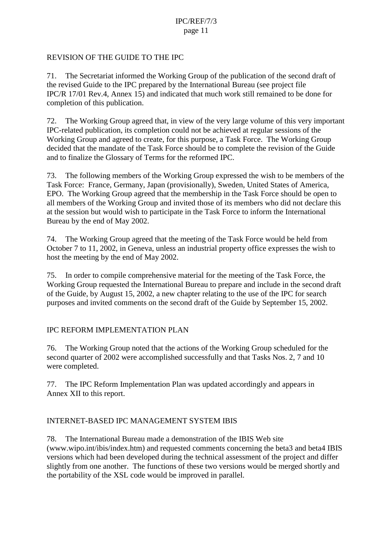### REVISION OF THE GUIDE TO THE IPC

71. The Secretariat informed the Working Group of the publication of the second draft of the revised Guide to the IPC prepared by the International Bureau (see project file IPC/R 17/01 Rev.4, Annex 15) and indicated that much work still remained to be done for completion of this publication.

72. The Working Group agreed that, in view of the very large volume of this very important IPC-related publication, its completion could not be achieved at regular sessions of the Working Group and agreed to create, for this purpose, a Task Force. The Working Group decided that the mandate of the Task Force should be to complete the revision of the Guide and to finalize the Glossary of Terms for the reformed IPC.

73. The following members of the Working Group expressed the wish to be members of the Task Force: France, Germany, Japan (provisionally), Sweden, United States of America, EPO. The Working Group agreed that the membership in the Task Force should be open to all members of the Working Group and invited those of its members who did not declare this at the session but would wish to participate in the Task Force to inform the International Bureau by the end of May 2002.

74. The Working Group agreed that the meeting of the Task Force would be held from October 7 to 11, 2002, in Geneva, unless an industrial property office expresses the wish to host the meeting by the end of May 2002.

75. In order to compile comprehensive material for the meeting of the Task Force, the Working Group requested the International Bureau to prepare and include in the second draft of the Guide, by August 15, 2002, a new chapter relating to the use of the IPC for search purposes and invited comments on the second draft of the Guide by September 15, 2002.

# IPC REFORM IMPLEMENTATION PLAN

76. The Working Group noted that the actions of the Working Group scheduled for the second quarter of 2002 were accomplished successfully and that Tasks Nos. 2, 7 and 10 were completed.

77. The IPC Reform Implementation Plan was updated accordingly and appears in Annex XII to this report.

# INTERNET-BASED IPC MANAGEMENT SYSTEM IBIS

78. The International Bureau made a demonstration of the IBIS Web site (www.wipo.int/ibis/index.htm) and requested comments concerning the beta3 and beta4 IBIS versions which had been developed during the technical assessment of the project and differ slightly from one another. The functions of these two versions would be merged shortly and the portability of the XSL code would be improved in parallel.